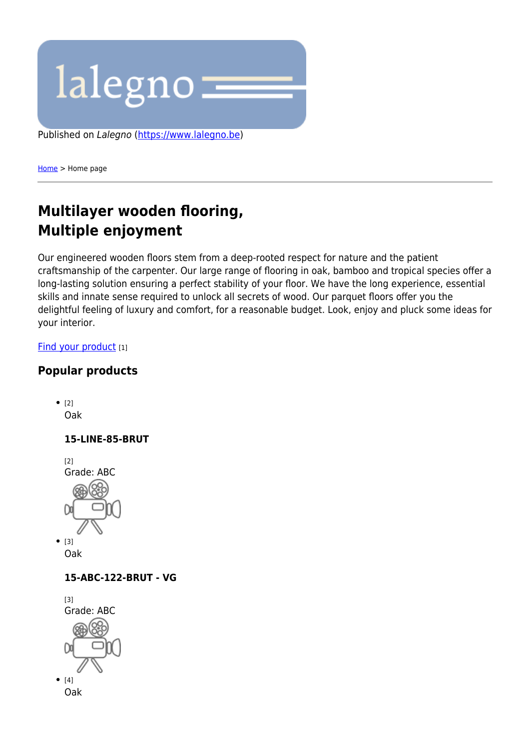

[Home](https://www.lalegno.be/en) > Home page

# **Multilayer wooden flooring, Multiple enjoyment**

Our engineered wooden floors stem from a deep-rooted respect for nature and the patient craftsmanship of the carpenter. Our large range of flooring in oak, bamboo and tropical species offer a long-lasting solution ensuring a perfect stability of your floor. We have the long experience, essential skills and innate sense required to unlock all secrets of wood. Our parquet floors offer you the delightful feeling of luxury and comfort, for a reasonable budget. Look, enjoy and pluck some ideas for your interior.

#### [Find your product](https://www.lalegno.be/en/producten/assortment/parket-335) [1]

### **Popular products**





#### **15-ABC-122-BRUT - VG**

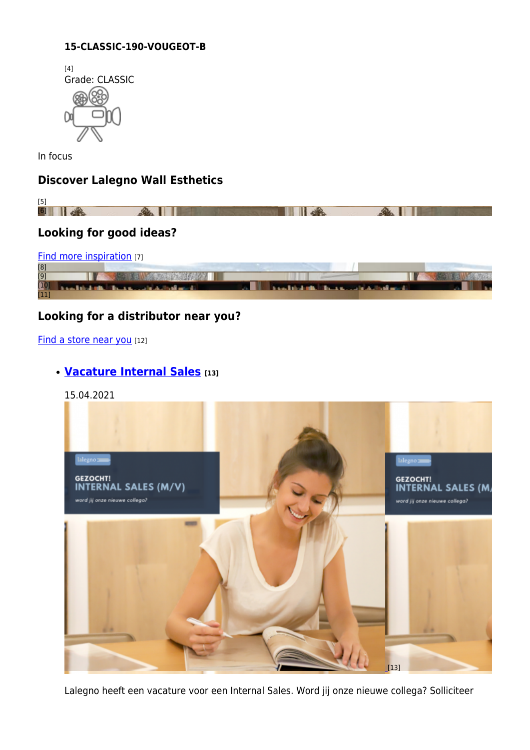#### **15-CLASSIC-190-VOUGEOT-B**



In focus

## **Discover Lalegno Wall Esthetics**



[Find more inspiration](https://www.lalegno.be/en/inspiration) [7]



### **Looking for a distributor near you?**

#### [Find a store near you](https://www.lalegno.be/en/dealers) [12]

### **[Vacature Internal Sales](https://www.lalegno.be/en/news/jobs/vacature-internal-sales) [13]**

15.04.2021



Lalegno heeft een vacature voor een Internal Sales. Word jij onze nieuwe collega? Solliciteer